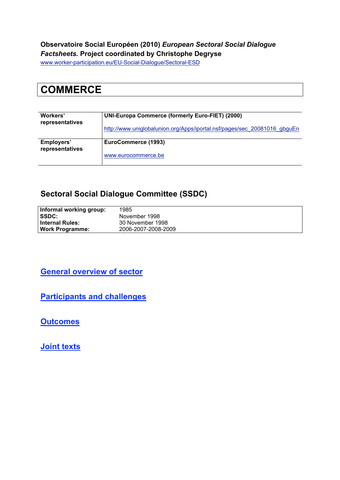#### **Observatoire Social Européen (2010)** *European Sectoral Social Dialogue Factsheets.* **Project coordinated by Christophe Degryse**

www.worker-participation.eu/EU-Social-Dialogue/Sectoral-ESD

# **COMMERCE**

| Workers'<br>representatives   | <b>UNI-Europa Commerce (formerly Euro-FIET) (2000)</b>                   |
|-------------------------------|--------------------------------------------------------------------------|
|                               | http://www.uniglobalunion.org/Apps/iportal.nsf/pages/sec_20081016_gbguEn |
| Employers'<br>representatives | EuroCommerce (1993)                                                      |
|                               | www.eurocommerce.be                                                      |

#### **Sectoral Social Dialogue Committee (SSDC)**

| Informal working group: | 1985                |
|-------------------------|---------------------|
| <b>ISSDC:</b>           | November 1998       |
| l Internal Rules:       | 30 November 1998    |
| <b>Work Programme:</b>  | 2006-2007-2008-2009 |

#### **General overview of sector**

**Participants and challenges**

**Outcomes**

**Joint texts**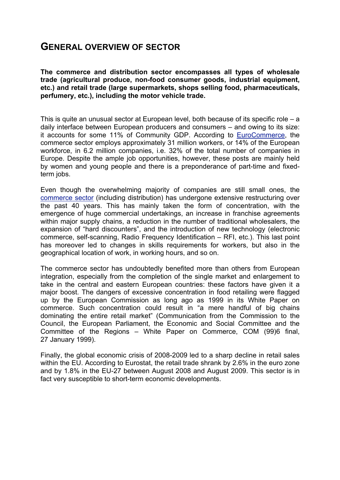### **GENERAL OVERVIEW OF SECTOR**

**The commerce and distribution sector encompasses all types of wholesale trade (agricultural produce, non-food consumer goods, industrial equipment, etc.) and retail trade (large supermarkets, shops selling food, pharmaceuticals, perfumery, etc.), including the motor vehicle trade.** 

This is quite an unusual sector at European level, both because of its specific role – a daily interface between European producers and consumers – and owing to its size: it accounts for some 11% of Community GDP. According to EuroCommerce, the commerce sector employs approximately 31 million workers, or 14% of the European workforce, in 6.2 million companies, i.e. 32% of the total number of companies in Europe. Despite the ample job opportunities, however, these posts are mainly held by women and young people and there is a preponderance of part-time and fixedterm jobs.

Even though the overwhelming majority of companies are still small ones, the commerce sector (including distribution) has undergone extensive restructuring over the past 40 years. This has mainly taken the form of concentration, with the emergence of huge commercial undertakings, an increase in franchise agreements within major supply chains, a reduction in the number of traditional wholesalers, the expansion of "hard discounters", and the introduction of new technology (electronic commerce, self-scanning, Radio Frequency Identification – RFI, etc.). This last point has moreover led to changes in skills requirements for workers, but also in the geographical location of work, in working hours, and so on.

The commerce sector has undoubtedly benefited more than others from European integration, especially from the completion of the single market and enlargement to take in the central and eastern European countries: these factors have given it a major boost. The dangers of excessive concentration in food retailing were flagged up by the European Commission as long ago as 1999 in its White Paper on commerce. Such concentration could result in "a mere handful of big chains dominating the entire retail market" (Communication from the Commission to the Council, the European Parliament, the Economic and Social Committee and the Committee of the Regions – White Paper on Commerce, COM (99)6 final, 27 January 1999).

Finally, the global economic crisis of 2008-2009 led to a sharp decline in retail sales within the EU. According to Eurostat, the retail trade shrank by 2.6% in the euro zone and by 1.8% in the EU-27 between August 2008 and August 2009. This sector is in fact very susceptible to short-term economic developments.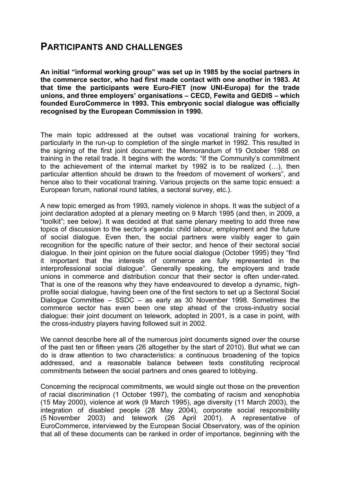## **PARTICIPANTS AND CHALLENGES**

**An initial "informal working group" was set up in 1985 by the social partners in the commerce sector, who had first made contact with one another in 1983. At that time the participants were Euro-FIET (now UNI-Europa) for the trade unions, and three employers' organisations – CECD, Fewita and GEDIS – which founded EuroCommerce in 1993. This embryonic social dialogue was officially recognised by the European Commission in 1990.**

The main topic addressed at the outset was vocational training for workers, particularly in the run-up to completion of the single market in 1992. This resulted in the signing of the first joint document: the Memorandum of 19 October 1988 on training in the retail trade. It begins with the words: "If the Community's commitment to the achievement of the internal market by 1992 is to be realized (…), then particular attention should be drawn to the freedom of movement of workers", and hence also to their vocational training. Various projects on the same topic ensued: a European forum, national round tables, a sectoral survey, etc.).

A new topic emerged as from 1993, namely violence in shops. It was the subject of a joint declaration adopted at a plenary meeting on 9 March 1995 (and then, in 2009, a "toolkit"; see below). It was decided at that same plenary meeting to add three new topics of discussion to the sector's agenda: child labour, employment and the future of social dialogue. Even then, the social partners were visibly eager to gain recognition for the specific nature of their sector, and hence of their sectoral social dialogue. In their joint opinion on the future social dialogue (October 1995) they "find it important that the interests of commerce are fully represented in the interprofessional social dialogue". Generally speaking, the employers and trade unions in commerce and distribution concur that their sector is often under-rated. That is one of the reasons why they have endeavoured to develop a dynamic, highprofile social dialogue, having been one of the first sectors to set up a Sectoral Social Dialogue Committee – SSDC – as early as 30 November 1998. Sometimes the commerce sector has even been one step ahead of the cross-industry social dialogue: their joint document on telework, adopted in 2001, is a case in point, with the cross-industry players having followed suit in 2002.

We cannot describe here all of the numerous joint documents signed over the course of the past ten or fifteen years (26 altogether by the start of 2010). But what we can do is draw attention to two characteristics: a continuous broadening of the topics addressed, and a reasonable balance between texts constituting reciprocal commitments between the social partners and ones geared to lobbying.

Concerning the reciprocal commitments, we would single out those on the prevention of racial discrimination (1 October 1997), the combating of racism and xenophobia (15 May 2000), violence at work (9 March 1995), age diversity (11 March 2003), the integration of disabled people (28 May 2004), corporate social responsibility (5 November 2003) and telework (26 April 2001). A representative of EuroCommerce, interviewed by the European Social Observatory, was of the opinion that all of these documents can be ranked in order of importance, beginning with the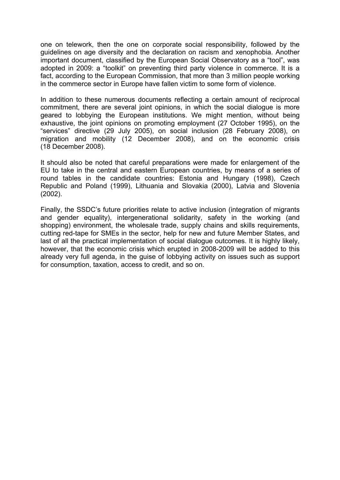one on telework, then the one on corporate social responsibility, followed by the guidelines on age diversity and the declaration on racism and xenophobia. Another important document, classified by the European Social Observatory as a "tool", was adopted in 2009: a "toolkit" on preventing third party violence in commerce. It is a fact, according to the European Commission, that more than 3 million people working in the commerce sector in Europe have fallen victim to some form of violence.

In addition to these numerous documents reflecting a certain amount of reciprocal commitment, there are several joint opinions, in which the social dialogue is more geared to lobbying the European institutions. We might mention, without being exhaustive, the joint opinions on promoting employment (27 October 1995), on the "services" directive (29 July 2005), on social inclusion (28 February 2008), on migration and mobility (12 December 2008), and on the economic crisis (18 December 2008).

It should also be noted that careful preparations were made for enlargement of the EU to take in the central and eastern European countries, by means of a series of round tables in the candidate countries: Estonia and Hungary (1998), Czech Republic and Poland (1999), Lithuania and Slovakia (2000), Latvia and Slovenia (2002).

Finally, the SSDC's future priorities relate to active inclusion (integration of migrants and gender equality), intergenerational solidarity, safety in the working (and shopping) environment, the wholesale trade, supply chains and skills requirements, cutting red-tape for SMEs in the sector, help for new and future Member States, and last of all the practical implementation of social dialogue outcomes. It is highly likely, however, that the economic crisis which erupted in 2008-2009 will be added to this already very full agenda, in the guise of lobbying activity on issues such as support for consumption, taxation, access to credit, and so on.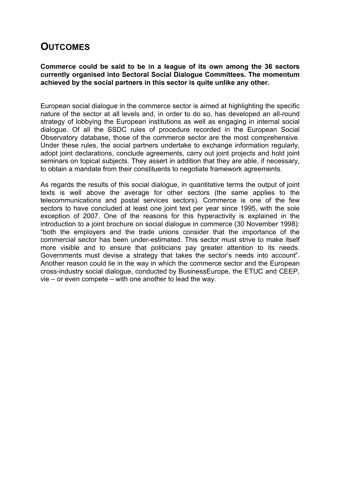## **OUTCOMES**

**Commerce could be said to be in a league of its own among the 36 sectors currently organised into Sectoral Social Dialogue Committees. The momentum achieved by the social partners in this sector is quite unlike any other.** 

European social dialogue in the commerce sector is aimed at highlighting the specific nature of the sector at all levels and, in order to do so, has developed an all-round strategy of lobbying the European institutions as well as engaging in internal social dialogue. Of all the SSDC rules of procedure recorded in the European Social Observatory database, those of the commerce sector are the most comprehensive. Under these rules, the social partners undertake to exchange information regularly, adopt joint declarations, conclude agreements, carry out joint projects and hold joint seminars on topical subjects. They assert in addition that they are able, if necessary, to obtain a mandate from their constituents to negotiate framework agreements.

As regards the results of this social dialogue, in quantitative terms the output of joint texts is well above the average for other sectors (the same applies to the telecommunications and postal services sectors). Commerce is one of the few sectors to have concluded at least one joint text per year since 1995, with the sole exception of 2007. One of the reasons for this hyperactivity is explained in the introduction to a joint brochure on social dialogue in commerce (30 November 1998): "both the employers and the trade unions consider that the importance of the commercial sector has been under-estimated. This sector must strive to make itself more visible and to ensure that politicians pay greater attention to its needs. Governments must devise a strategy that takes the sector's needs into account". Another reason could lie in the way in which the commerce sector and the European cross-industry social dialogue, conducted by BusinessEurope, the ETUC and CEEP, vie – or even compete – with one another to lead the way.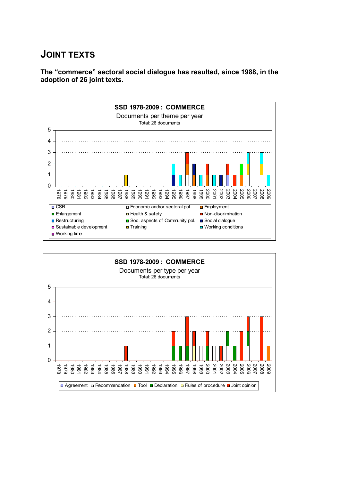## **JOINT TEXTS**

**The "commerce" sectoral social dialogue has resulted, since 1988, in the adoption of 26 joint texts.**



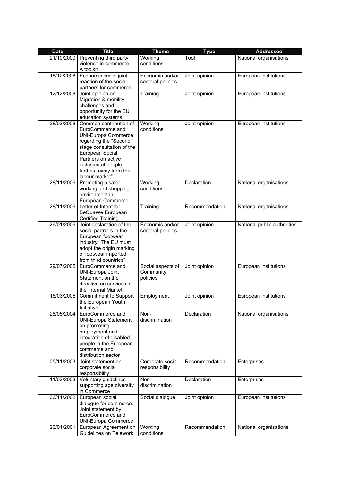| <b>Date</b> | <b>Title</b>                                                                                                                                                                                                                               | <b>Theme</b>                               | <b>Type</b>    | <b>Addressee</b>            |
|-------------|--------------------------------------------------------------------------------------------------------------------------------------------------------------------------------------------------------------------------------------------|--------------------------------------------|----------------|-----------------------------|
| 21/10/2009  | Preventing third party<br>violence in commerce -<br>A toolkit                                                                                                                                                                              | Working<br>conditions                      | Tool           | National organisations      |
| 18/12/2008  | Economic crisis: joint<br>reaction of the social<br>partners for commerce                                                                                                                                                                  | Economic and/or<br>sectoral policies       | Joint opinion  | European institutions       |
| 12/12/2008  | Joint opinion on<br>Migration & mobility:<br>challenges and<br>opportunity for the EU<br>education systems                                                                                                                                 | Training                                   | Joint opinion  | European institutions       |
| 28/02/2008  | Common contribution of<br>EuroCommerce and<br><b>UNI-Europa Commerce</b><br>regarding the "Second<br>stage consultation of the<br>European Social<br>Partners on active<br>inclusion of people<br>furthest away from the<br>labour market" | Working<br>conditions                      | Joint opinion  | European institutions       |
| 28/11/2006  | Promoting a safer<br>working and shopping<br>environment in<br>European Commerce                                                                                                                                                           | Working<br>conditions                      | Declaration    | National organisations      |
| 28/11/2006  | Letter of Intent for<br>BeQuaWe European<br><b>Certified Training</b>                                                                                                                                                                      | Training                                   | Recommendation | National organisations      |
| 26/01/2006  | Joint declaration of the<br>social partners in the<br>European footwear<br>industry "The EU must<br>adopt the origin marking<br>of footwear imported<br>from third countries"                                                              | Economic and/or<br>sectoral policies       | Joint opinion  | National public authorities |
| 29/07/2005  | EuroCommerce and<br><b>UNI-Europa Joint</b><br>Statement on the<br>directive on services in<br>the Internal Market                                                                                                                         | Social aspects of<br>Community<br>policies | Joint opinion  | European institutions       |
| 16/03/2005  | <b>Commitment to Support</b><br>the European Youth<br>Initiative                                                                                                                                                                           | Employment                                 | Joint opinion  | European institutions       |
| 28/05/2004  | EuroCommerce and<br><b>UNI-Europa Statement</b><br>on promoting<br>employment and<br>integration of disabled<br>people in the European<br>commerce and<br>distribution sector                                                              | Non-<br>discrimination                     | Declaration    | National organisations      |
| 05/11/2003  | Joint statement on<br>corporate social<br>responsibility                                                                                                                                                                                   | Corporate social<br>responsibility         | Recommendation | Enterprises                 |
| 11/03/2003  | Voluntary guidelines<br>supporting age diversity<br>in Commerce                                                                                                                                                                            | Non-<br>discrimination                     | Declaration    | Enterprises                 |
| 06/11/2002  | European social<br>dialogue for commerce.<br>Joint statement by<br>EuroCommerce and<br><b>UNI-Europa Commerce</b>                                                                                                                          | Social dialogue                            | Joint opinion  | European institutions       |
| 26/04/2001  | European Agreement on<br>Guidelines on Telework                                                                                                                                                                                            | Working<br>conditions                      | Recommendation | National organisations      |